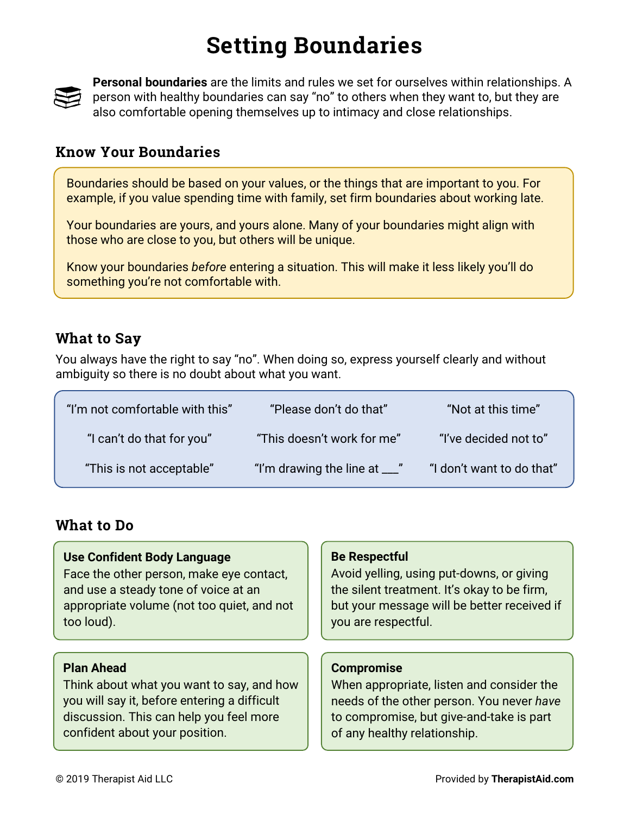# **Setting Boundaries**



**Personal boundaries** are the limits and rules we set for ourselves within relationships. A person with healthy boundaries can say "no" to others when they want to, but they are also comfortable opening themselves up to intimacy and close relationships.

### **Know Your Boundaries**

Boundaries should be based on your values, or the things that are important to you. For example, if you value spending time with family, set firm boundaries about working late.

Your boundaries are yours, and yours alone. Many of your boundaries might align with those who are close to you, but others will be unique.

Know your boundaries *before* entering a situation. This will make it less likely you'll do something you're not comfortable with.

### **What to Say**

You always have the right to say "no". When doing so, express yourself clearly and without ambiguity so there is no doubt about what you want.

| "I'm not comfortable with this" | "Please don't do that"                   | "Not at this time"        |
|---------------------------------|------------------------------------------|---------------------------|
| "I can't do that for you"       | "This doesn't work for me"               | "I've decided not to"     |
| "This is not acceptable"        | "I'm drawing the line at $\frac{1}{2}$ " | "I don't want to do that" |

### **What to Do**

#### **Use Confident Body Language** Face the other person, make eye contact, and use a steady tone of voice at an appropriate volume (not too quiet, and not too loud).

#### **Plan Ahead**

Think about what you want to say, and how you will say it, before entering a difficult discussion. This can help you feel more confident about your position.

#### **Be Respectful**

Avoid yelling, using put-downs, or giving the silent treatment. It's okay to be firm, but your message will be better received if you are respectful.

#### **Compromise**

When appropriate, listen and consider the needs of the other person. You never *have* to compromise, but give-and-take is part of any healthy relationship.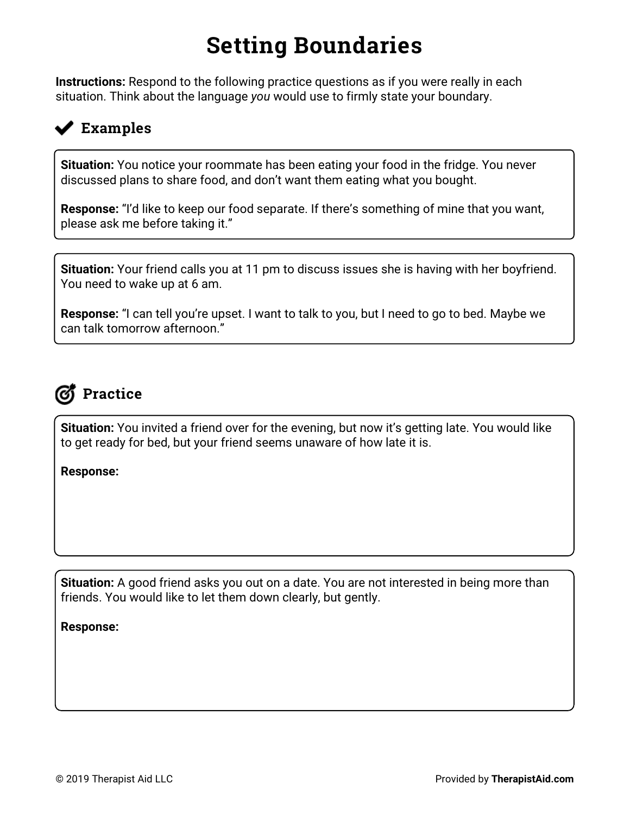# **Setting Boundaries**

**Instructions:** Respond to the following practice questions as if you were really in each situation. Think about the language *you* would use to firmly state your boundary.

## **Examples**

**Situation:** You notice your roommate has been eating your food in the fridge. You never discussed plans to share food, and don't want them eating what you bought.

**Response:** "I'd like to keep our food separate. If there's something of mine that you want, please ask me before taking it."

**Situation:** Your friend calls you at 11 pm to discuss issues she is having with her boyfriend. You need to wake up at 6 am.

**Response:** "I can tell you're upset. I want to talk to you, but I need to go to bed. Maybe we can talk tomorrow afternoon."

## **Practice**

**Situation:** You invited a friend over for the evening, but now it's getting late. You would like to get ready for bed, but your friend seems unaware of how late it is.

**Response:**

**Situation:** A good friend asks you out on a date. You are not interested in being more than friends. You would like to let them down clearly, but gently.

**Response:**